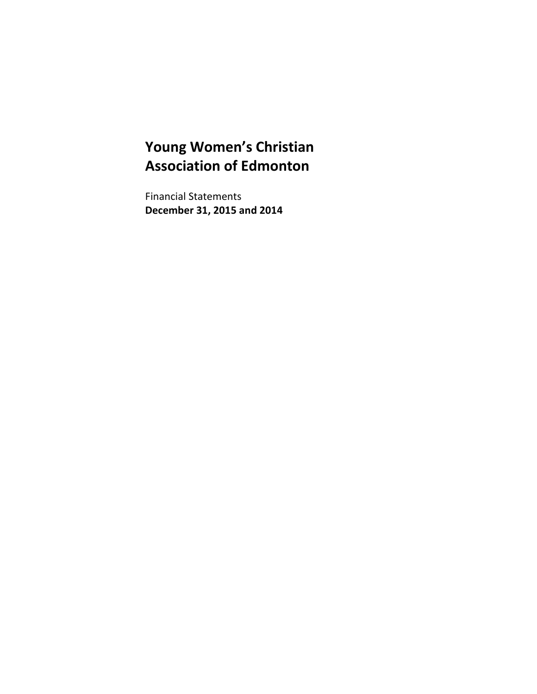Financial Statements **December 31, 2015 and 2014**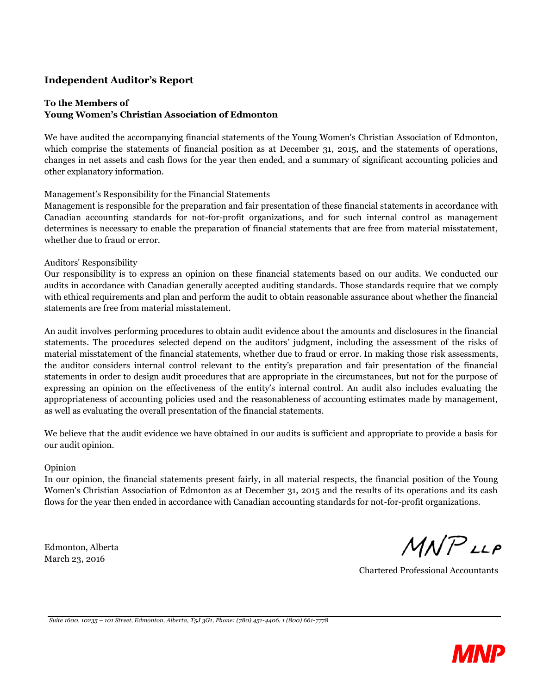#### **Independent Auditor's Report**

#### **To the Members of Young Women's Christian Association of Edmonton**

We have audited the accompanying financial statements of the Young Women's Christian Association of Edmonton, which comprise the statements of financial position as at December 31, 2015, and the statements of operations, changes in net assets and cash flows for the year then ended, and a summary of significant accounting policies and other explanatory information.

Management's Responsibility for the Financial Statements

Management is responsible for the preparation and fair presentation of these financial statements in accordance with Canadian accounting standards for not-for-profit organizations, and for such internal control as management determines is necessary to enable the preparation of financial statements that are free from material misstatement, whether due to fraud or error.

#### Auditors' Responsibility

Our responsibility is to express an opinion on these financial statements based on our audits. We conducted our audits in accordance with Canadian generally accepted auditing standards. Those standards require that we comply with ethical requirements and plan and perform the audit to obtain reasonable assurance about whether the financial statements are free from material misstatement.

An audit involves performing procedures to obtain audit evidence about the amounts and disclosures in the financial statements. The procedures selected depend on the auditors' judgment, including the assessment of the risks of material misstatement of the financial statements, whether due to fraud or error. In making those risk assessments, the auditor considers internal control relevant to the entity's preparation and fair presentation of the financial statements in order to design audit procedures that are appropriate in the circumstances, but not for the purpose of expressing an opinion on the effectiveness of the entity's internal control. An audit also includes evaluating the appropriateness of accounting policies used and the reasonableness of accounting estimates made by management, as well as evaluating the overall presentation of the financial statements.

We believe that the audit evidence we have obtained in our audits is sufficient and appropriate to provide a basis for our audit opinion.

#### Opinion

In our opinion, the financial statements present fairly, in all material respects, the financial position of the Young Women's Christian Association of Edmonton as at December 31, 2015 and the results of its operations and its cash flows for the year then ended in accordance with Canadian accounting standards for not-for-profit organizations.

Edmonton, Alberta March 23, 2016

 $MNPLLP$ 

Chartered Professional Accountants

*Suite 1600, 10235 – 101 Street, Edmonton, Alberta, T5J 3G1, Phone: (780) 451-4406, 1 (800) 661-7778*

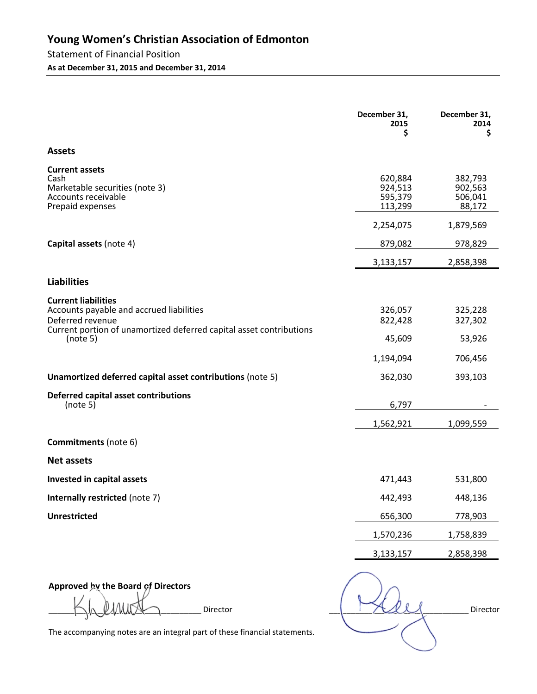## Statement of Financial Position

**As at December 31, 2015 and December 31, 2014** 

|                                                                                                                                                                   | December 31,<br>2015<br>\$               | December 31,<br>2014<br>\$              |
|-------------------------------------------------------------------------------------------------------------------------------------------------------------------|------------------------------------------|-----------------------------------------|
| <b>Assets</b>                                                                                                                                                     |                                          |                                         |
| <b>Current assets</b><br>Cash<br>Marketable securities (note 3)<br>Accounts receivable<br>Prepaid expenses                                                        | 620,884<br>924,513<br>595,379<br>113,299 | 382,793<br>902,563<br>506,041<br>88,172 |
|                                                                                                                                                                   | 2,254,075                                | 1,879,569                               |
| Capital assets (note 4)                                                                                                                                           | 879,082                                  | 978,829                                 |
|                                                                                                                                                                   | 3,133,157                                | 2,858,398                               |
| <b>Liabilities</b>                                                                                                                                                |                                          |                                         |
| <b>Current liabilities</b><br>Accounts payable and accrued liabilities<br>Deferred revenue<br>Current portion of unamortized deferred capital asset contributions | 326,057<br>822,428                       | 325,228<br>327,302                      |
| (note 5)                                                                                                                                                          | 45,609                                   | 53,926                                  |
|                                                                                                                                                                   | 1,194,094                                | 706,456                                 |
| Unamortized deferred capital asset contributions (note 5)                                                                                                         | 362,030                                  | 393,103                                 |
| <b>Deferred capital asset contributions</b><br>(note 5)                                                                                                           | 6,797                                    |                                         |
|                                                                                                                                                                   | 1,562,921                                | 1,099,559                               |
| <b>Commitments</b> (note 6)                                                                                                                                       |                                          |                                         |
| <b>Net assets</b>                                                                                                                                                 |                                          |                                         |
| Invested in capital assets                                                                                                                                        | 471,443                                  | 531,800                                 |
| Internally restricted (note 7)                                                                                                                                    | 442,493                                  | 448,136                                 |
| <b>Unrestricted</b>                                                                                                                                               | 656,300                                  | 778,903                                 |
|                                                                                                                                                                   | 1,570,236                                | 1,758,839                               |
|                                                                                                                                                                   | 3,133,157                                | 2,858,398                               |
|                                                                                                                                                                   |                                          |                                         |

**Approved by the Board of Directors** 

 $\rule{1em}{0}$   $\qquad \qquad \qquad \qquad \qquad \qquad \qquad \qquad \qquad \qquad$  Director  $\rule{1em}{0}$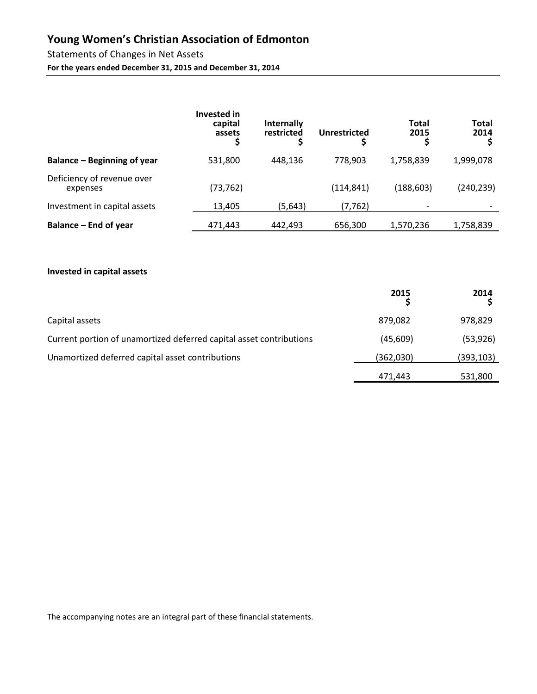# Statements of Changes in Net Assets

**For the years ended December 31, 2015 and December 31, 2014** 

|                                        | Invested in<br>capital<br>assets | <b>Internally</b><br>restricted | Unrestricted | <b>Total</b><br>2015 | Total<br>2014 |
|----------------------------------------|----------------------------------|---------------------------------|--------------|----------------------|---------------|
| Balance – Beginning of year            | 531,800                          | 448.136                         | 778,903      | 1,758,839            | 1,999,078     |
| Deficiency of revenue over<br>expenses | (73, 762)                        |                                 | (114, 841)   | (188, 603)           | (240,239)     |
| Investment in capital assets           | 13,405                           | (5,643)                         | (7, 762)     |                      |               |
| Balance – End of year                  | 471,443                          | 442.493                         | 656,300      | 1,570,236            | 1,758,839     |

#### **Invested in capital assets**

|                                                                     | 2015      | 2014      |
|---------------------------------------------------------------------|-----------|-----------|
| Capital assets                                                      | 879,082   | 978,829   |
| Current portion of unamortized deferred capital asset contributions | (45,609)  | (53, 926) |
| Unamortized deferred capital asset contributions                    | (362,030) | (393,103) |
|                                                                     | 471,443   | 531,800   |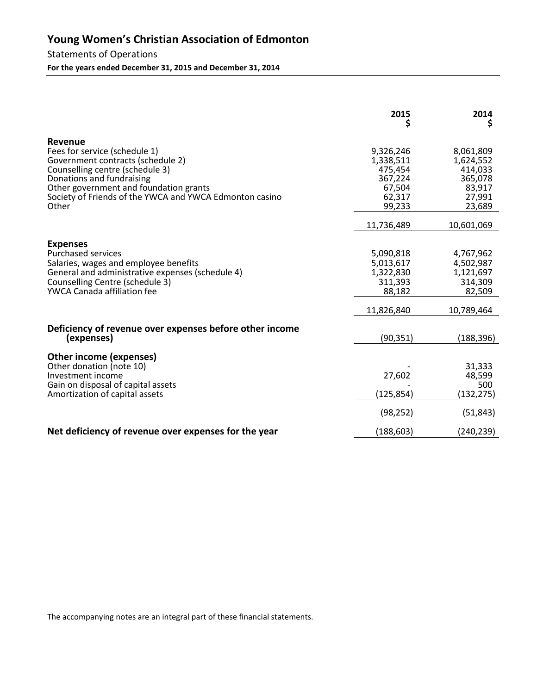Statements of Operations **For the years ended December 31, 2015 and December 31, 2014** 

|                                                                                                                                                                                                                                                             | 2015<br>Ş                                                                  | 2014<br>Ş                                                                  |
|-------------------------------------------------------------------------------------------------------------------------------------------------------------------------------------------------------------------------------------------------------------|----------------------------------------------------------------------------|----------------------------------------------------------------------------|
| Revenue<br>Fees for service (schedule 1)<br>Government contracts (schedule 2)<br>Counselling centre (schedule 3)<br>Donations and fundraising<br>Other government and foundation grants<br>Society of Friends of the YWCA and YWCA Edmonton casino<br>Other | 9,326,246<br>1,338,511<br>475,454<br>367,224<br>67,504<br>62,317<br>99,233 | 8,061,809<br>1,624,552<br>414,033<br>365,078<br>83,917<br>27,991<br>23,689 |
|                                                                                                                                                                                                                                                             | 11,736,489                                                                 | 10,601,069                                                                 |
| <b>Expenses</b><br><b>Purchased services</b><br>Salaries, wages and employee benefits<br>General and administrative expenses (schedule 4)<br>Counselling Centre (schedule 3)<br>YWCA Canada affiliation fee                                                 | 5,090,818<br>5,013,617<br>1,322,830<br>311,393<br>88,182<br>11,826,840     | 4,767,962<br>4,502,987<br>1,121,697<br>314,309<br>82,509<br>10,789,464     |
| Deficiency of revenue over expenses before other income<br>(expenses)                                                                                                                                                                                       | (90, 351)                                                                  | (188, 396)                                                                 |
| <b>Other income (expenses)</b><br>Other donation (note 10)<br>Investment income<br>Gain on disposal of capital assets<br>Amortization of capital assets                                                                                                     | 27,602<br>(125,854)<br>(98, 252)                                           | 31,333<br>48,599<br>500<br>(132,275)<br>(51, 843)                          |
| Net deficiency of revenue over expenses for the year                                                                                                                                                                                                        | (188, 603)                                                                 | (240, 239)                                                                 |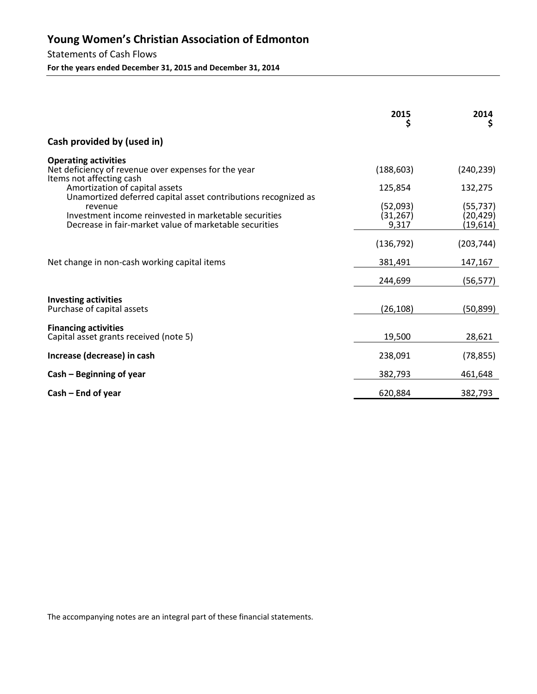Statements of Cash Flows **For the years ended December 31, 2015 and December 31, 2014** 

|                                                                                                                                                                                              | 2015<br>Ş                      | 2014<br>Ş                          |
|----------------------------------------------------------------------------------------------------------------------------------------------------------------------------------------------|--------------------------------|------------------------------------|
| Cash provided by (used in)                                                                                                                                                                   |                                |                                    |
| <b>Operating activities</b><br>Net deficiency of revenue over expenses for the year<br>Items not affecting cash                                                                              | (188, 603)                     | (240, 239)                         |
| Amortization of capital assets                                                                                                                                                               | 125,854                        | 132,275                            |
| Unamortized deferred capital asset contributions recognized as<br>revenue<br>Investment income reinvested in marketable securities<br>Decrease in fair-market value of marketable securities | (52,093)<br>(31, 267)<br>9,317 | (55, 737)<br>(20, 429)<br>(19,614) |
|                                                                                                                                                                                              | (136, 792)                     | (203, 744)                         |
| Net change in non-cash working capital items                                                                                                                                                 | 381,491                        | 147,167                            |
|                                                                                                                                                                                              | 244,699                        | (56, 577)                          |
| <b>Investing activities</b>                                                                                                                                                                  |                                |                                    |
| Purchase of capital assets                                                                                                                                                                   | (26, 108)                      | (50, 899)                          |
| <b>Financing activities</b><br>Capital asset grants received (note 5)                                                                                                                        | 19,500                         | 28,621                             |
| Increase (decrease) in cash                                                                                                                                                                  | 238,091                        | (78, 855)                          |
| Cash – Beginning of year                                                                                                                                                                     | 382,793                        | 461,648                            |
| $Cash - End of year$                                                                                                                                                                         | 620,884                        | 382,793                            |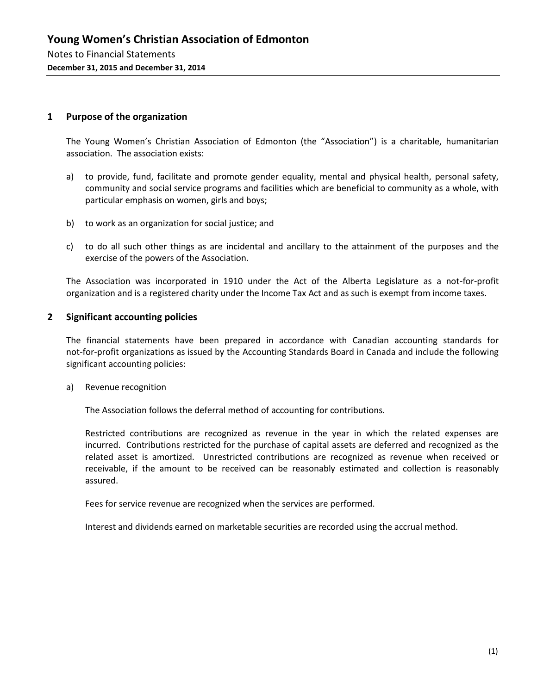#### **1 Purpose of the organization**

The Young Women's Christian Association of Edmonton (the "Association") is a charitable, humanitarian association. The association exists:

- a) to provide, fund, facilitate and promote gender equality, mental and physical health, personal safety, community and social service programs and facilities which are beneficial to community as a whole, with particular emphasis on women, girls and boys;
- b) to work as an organization for social justice; and
- c) to do all such other things as are incidental and ancillary to the attainment of the purposes and the exercise of the powers of the Association.

The Association was incorporated in 1910 under the Act of the Alberta Legislature as a not-for-profit organization and is a registered charity under the Income Tax Act and as such is exempt from income taxes.

#### **2 Significant accounting policies**

The financial statements have been prepared in accordance with Canadian accounting standards for not-for-profit organizations as issued by the Accounting Standards Board in Canada and include the following significant accounting policies:

#### a) Revenue recognition

The Association follows the deferral method of accounting for contributions.

Restricted contributions are recognized as revenue in the year in which the related expenses are incurred. Contributions restricted for the purchase of capital assets are deferred and recognized as the related asset is amortized. Unrestricted contributions are recognized as revenue when received or receivable, if the amount to be received can be reasonably estimated and collection is reasonably assured.

Fees for service revenue are recognized when the services are performed.

Interest and dividends earned on marketable securities are recorded using the accrual method.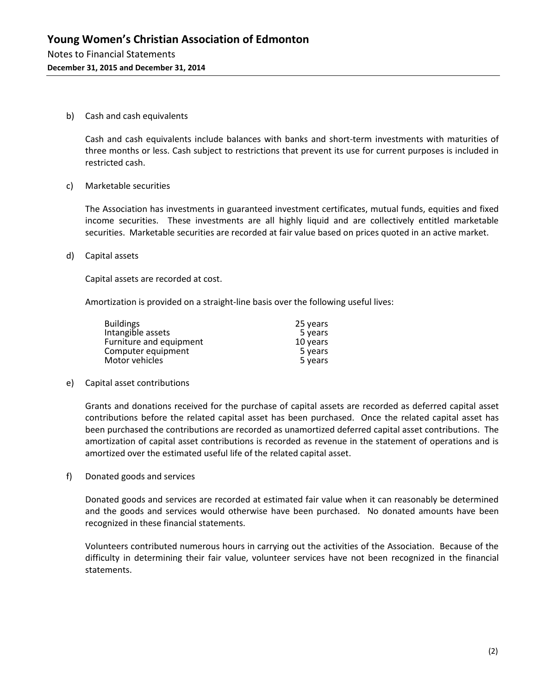b) Cash and cash equivalents

Cash and cash equivalents include balances with banks and short-term investments with maturities of three months or less. Cash subject to restrictions that prevent its use for current purposes is included in restricted cash.

c) Marketable securities

The Association has investments in guaranteed investment certificates, mutual funds, equities and fixed income securities. These investments are all highly liquid and are collectively entitled marketable securities. Marketable securities are recorded at fair value based on prices quoted in an active market.

d) Capital assets

Capital assets are recorded at cost.

Amortization is provided on a straight-line basis over the following useful lives:

| <b>Buildings</b>        | 25 years |
|-------------------------|----------|
| Intangible assets       | 5 years  |
| Furniture and equipment | 10 years |
| Computer equipment      | 5 years  |
| Motor vehicles          | 5 years  |

e) Capital asset contributions

Grants and donations received for the purchase of capital assets are recorded as deferred capital asset contributions before the related capital asset has been purchased. Once the related capital asset has been purchased the contributions are recorded as unamortized deferred capital asset contributions. The amortization of capital asset contributions is recorded as revenue in the statement of operations and is amortized over the estimated useful life of the related capital asset.

f) Donated goods and services

Donated goods and services are recorded at estimated fair value when it can reasonably be determined and the goods and services would otherwise have been purchased. No donated amounts have been recognized in these financial statements.

Volunteers contributed numerous hours in carrying out the activities of the Association. Because of the difficulty in determining their fair value, volunteer services have not been recognized in the financial statements.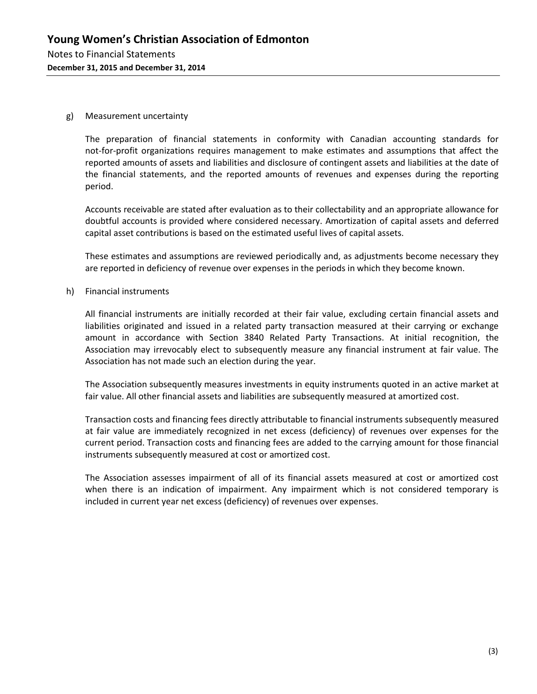#### g) Measurement uncertainty

The preparation of financial statements in conformity with Canadian accounting standards for not-for-profit organizations requires management to make estimates and assumptions that affect the reported amounts of assets and liabilities and disclosure of contingent assets and liabilities at the date of the financial statements, and the reported amounts of revenues and expenses during the reporting period.

Accounts receivable are stated after evaluation as to their collectability and an appropriate allowance for doubtful accounts is provided where considered necessary. Amortization of capital assets and deferred capital asset contributions is based on the estimated useful lives of capital assets.

These estimates and assumptions are reviewed periodically and, as adjustments become necessary they are reported in deficiency of revenue over expenses in the periods in which they become known.

h) Financial instruments

All financial instruments are initially recorded at their fair value, excluding certain financial assets and liabilities originated and issued in a related party transaction measured at their carrying or exchange amount in accordance with Section 3840 Related Party Transactions. At initial recognition, the Association may irrevocably elect to subsequently measure any financial instrument at fair value. The Association has not made such an election during the year.

The Association subsequently measures investments in equity instruments quoted in an active market at fair value. All other financial assets and liabilities are subsequently measured at amortized cost.

Transaction costs and financing fees directly attributable to financial instruments subsequently measured at fair value are immediately recognized in net excess (deficiency) of revenues over expenses for the current period. Transaction costs and financing fees are added to the carrying amount for those financial instruments subsequently measured at cost or amortized cost.

The Association assesses impairment of all of its financial assets measured at cost or amortized cost when there is an indication of impairment. Any impairment which is not considered temporary is included in current year net excess (deficiency) of revenues over expenses.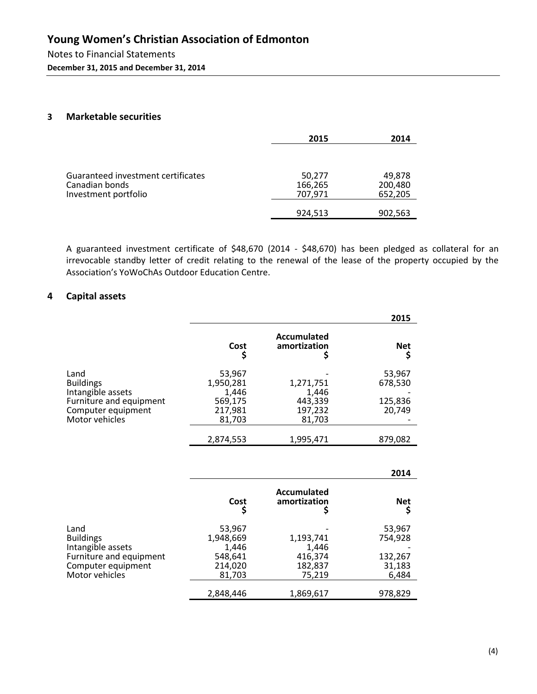**December 31, 2015 and December 31, 2014** 

#### **3 Marketable securities**

|                                                                              | 2015                         | 2014                         |
|------------------------------------------------------------------------------|------------------------------|------------------------------|
| Guaranteed investment certificates<br>Canadian bonds<br>Investment portfolio | 50,277<br>166,265<br>707,971 | 49,878<br>200,480<br>652,205 |
|                                                                              | 924,513                      | 902,563                      |

A guaranteed investment certificate of \$48,670 (2014 - \$48,670) has been pledged as collateral for an irrevocable standby letter of credit relating to the renewal of the lease of the property occupied by the Association's YoWoChAs Outdoor Education Centre.

#### **4 Capital assets**

|                                                                                                                  |                                                              |                                                    | 2015                                   |
|------------------------------------------------------------------------------------------------------------------|--------------------------------------------------------------|----------------------------------------------------|----------------------------------------|
|                                                                                                                  | Cost                                                         | Accumulated<br>amortization                        | <b>Net</b>                             |
| Land<br><b>Buildings</b><br>Intangible assets<br>Furniture and equipment<br>Computer equipment<br>Motor vehicles | 53,967<br>1,950,281<br>1,446<br>569,175<br>217,981<br>81,703 | 1,271,751<br>1,446<br>443,339<br>197,232<br>81,703 | 53,967<br>678,530<br>125,836<br>20,749 |
|                                                                                                                  | 2,874,553                                                    | 1,995,471                                          | 879,082                                |

|                         |           |                             | 2014       |
|-------------------------|-----------|-----------------------------|------------|
|                         | Cost      | Accumulated<br>amortization | <b>Net</b> |
| Land                    | 53,967    |                             | 53,967     |
| <b>Buildings</b>        | 1,948,669 | 1,193,741                   | 754,928    |
| Intangible assets       | 1,446     | 1.446                       |            |
| Furniture and equipment | 548,641   | 416,374                     | 132,267    |
| Computer equipment      | 214,020   | 182,837                     | 31,183     |
| Motor vehicles          | 81,703    | 75,219                      | 6,484      |
|                         | 2,848,446 | 1,869,617                   | 978,829    |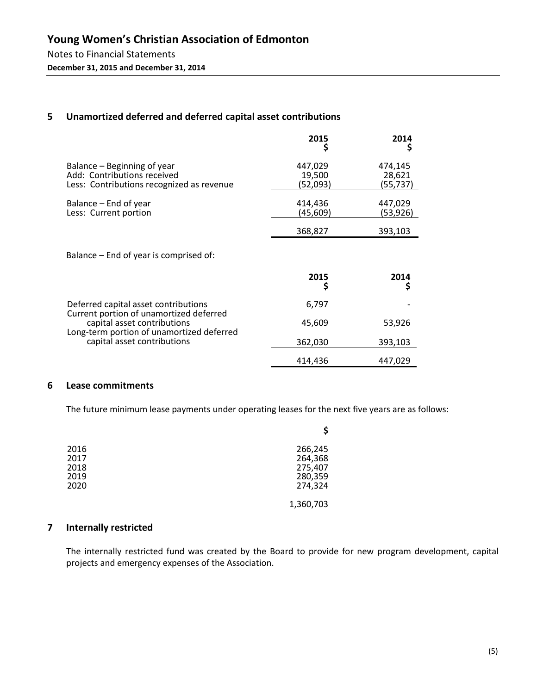#### **5 Unamortized deferred and deferred capital asset contributions**

|                                                                                                         | 2015                          | 2014<br>Ş                     |
|---------------------------------------------------------------------------------------------------------|-------------------------------|-------------------------------|
| Balance – Beginning of year<br>Add: Contributions received<br>Less: Contributions recognized as revenue | 447,029<br>19,500<br>(52,093) | 474,145<br>28,621<br>(55,737) |
| Balance – End of year<br>Less: Current portion                                                          | 414,436<br>(45,609)           | 447,029<br>(53,926)           |
|                                                                                                         | 368,827                       | 393,103                       |
| Balance – End of year is comprised of:                                                                  |                               |                               |
|                                                                                                         | 2015                          | 2014<br>Ş                     |
| Deferred capital asset contributions                                                                    | 6,797                         |                               |
| Current portion of unamortized deferred<br>capital asset contributions                                  | 45,609                        | 53,926                        |
| Long-term portion of unamortized deferred<br>capital asset contributions                                | 362,030                       | 393,103                       |
|                                                                                                         | 414,436                       | 447,029                       |

#### **6 Lease commitments**

The future minimum lease payments under operating leases for the next five years are as follows:

| 2016<br>2017<br>2018<br>2019<br>2020 | 266,245<br>264,368<br>275,407<br>280,359<br>274,324 |
|--------------------------------------|-----------------------------------------------------|
|                                      | 1,360,703                                           |

#### **7 Internally restricted**

The internally restricted fund was created by the Board to provide for new program development, capital projects and emergency expenses of the Association.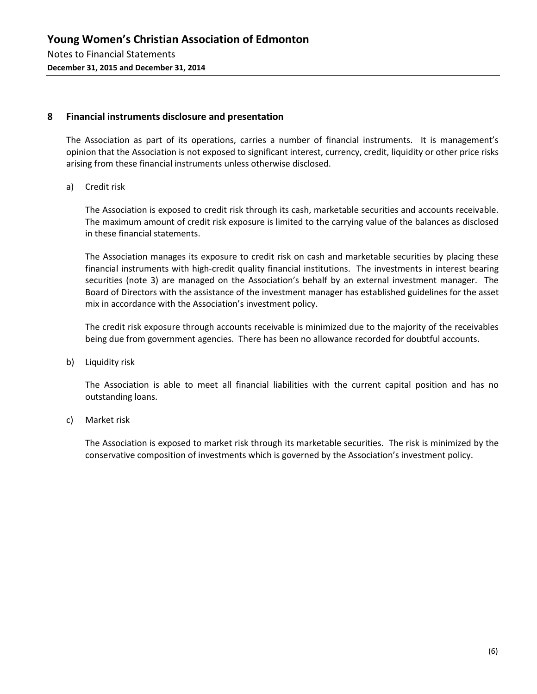#### **8 Financial instruments disclosure and presentation**

The Association as part of its operations, carries a number of financial instruments. It is management's opinion that the Association is not exposed to significant interest, currency, credit, liquidity or other price risks arising from these financial instruments unless otherwise disclosed.

a) Credit risk

The Association is exposed to credit risk through its cash, marketable securities and accounts receivable. The maximum amount of credit risk exposure is limited to the carrying value of the balances as disclosed in these financial statements.

The Association manages its exposure to credit risk on cash and marketable securities by placing these financial instruments with high-credit quality financial institutions. The investments in interest bearing securities (note 3) are managed on the Association's behalf by an external investment manager. The Board of Directors with the assistance of the investment manager has established guidelines for the asset mix in accordance with the Association's investment policy.

The credit risk exposure through accounts receivable is minimized due to the majority of the receivables being due from government agencies. There has been no allowance recorded for doubtful accounts.

b) Liquidity risk

The Association is able to meet all financial liabilities with the current capital position and has no outstanding loans.

c) Market risk

The Association is exposed to market risk through its marketable securities. The risk is minimized by the conservative composition of investments which is governed by the Association's investment policy.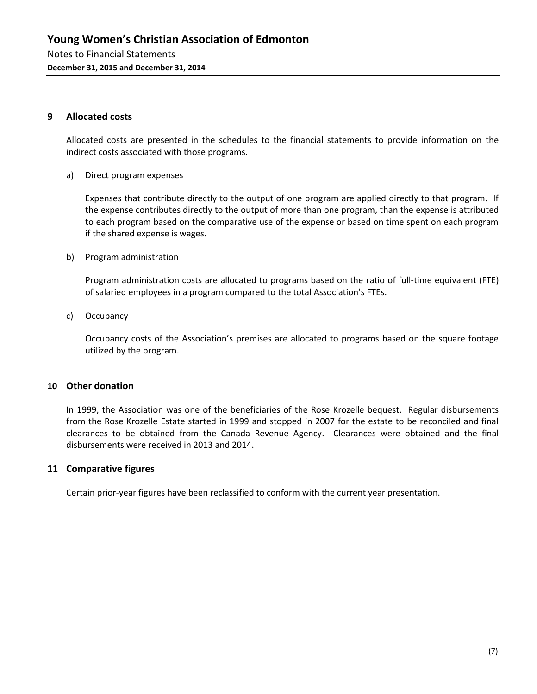#### **9 Allocated costs**

Allocated costs are presented in the schedules to the financial statements to provide information on the indirect costs associated with those programs.

a) Direct program expenses

Expenses that contribute directly to the output of one program are applied directly to that program. If the expense contributes directly to the output of more than one program, than the expense is attributed to each program based on the comparative use of the expense or based on time spent on each program if the shared expense is wages.

b) Program administration

Program administration costs are allocated to programs based on the ratio of full-time equivalent (FTE) of salaried employees in a program compared to the total Association's FTEs.

c) Occupancy

Occupancy costs of the Association's premises are allocated to programs based on the square footage utilized by the program.

#### **10 Other donation**

In 1999, the Association was one of the beneficiaries of the Rose Krozelle bequest. Regular disbursements from the Rose Krozelle Estate started in 1999 and stopped in 2007 for the estate to be reconciled and final clearances to be obtained from the Canada Revenue Agency. Clearances were obtained and the final disbursements were received in 2013 and 2014.

#### **11 Comparative figures**

Certain prior-year figures have been reclassified to conform with the current year presentation.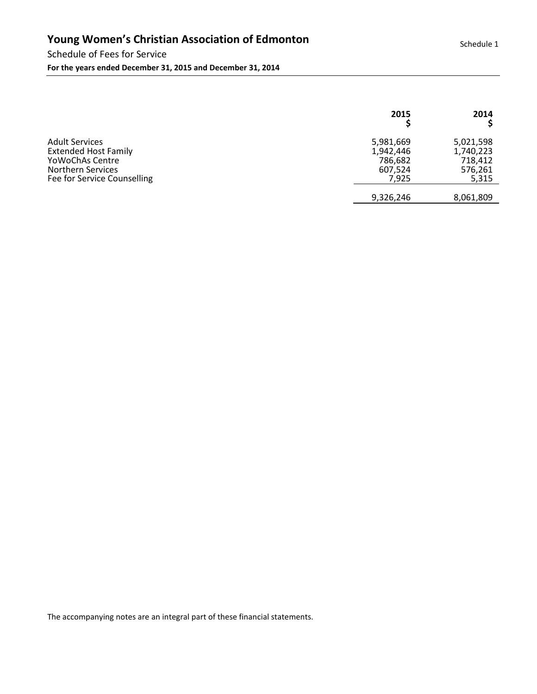#### Schedule of Fees for Service **For the years ended December 31, 2015 and December 31, 2014**

|                                                                                                                                      | 2015                                                  | 2014                                                  |
|--------------------------------------------------------------------------------------------------------------------------------------|-------------------------------------------------------|-------------------------------------------------------|
| <b>Adult Services</b><br><b>Extended Host Family</b><br>Yo Wo ChAs Centre<br><b>Northern Services</b><br>Fee for Service Counselling | 5,981,669<br>1,942,446<br>786,682<br>607,524<br>7,925 | 5,021,598<br>1,740,223<br>718,412<br>576,261<br>5,315 |
|                                                                                                                                      | 9,326,246                                             | 8,061,809                                             |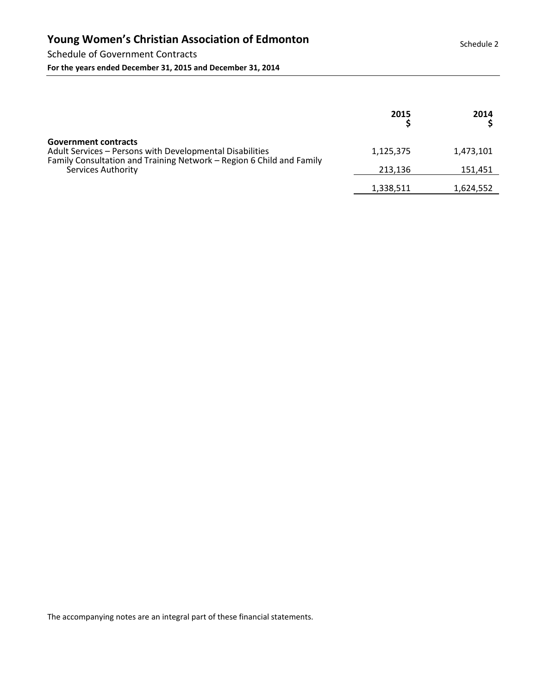Schedule of Government Contracts **For the years ended December 31, 2015 and December 31, 2014** 

|                                                                                                                                                                                       | 2015      | 2014      |
|---------------------------------------------------------------------------------------------------------------------------------------------------------------------------------------|-----------|-----------|
| <b>Government contracts</b><br>Adult Services - Persons with Developmental Disabilities<br>Family Consultation and Training Network – Region 6 Child and Family<br>Services Authority | 1,125,375 | 1,473,101 |
|                                                                                                                                                                                       | 213.136   | 151,451   |
|                                                                                                                                                                                       | 1,338,511 | 1,624,552 |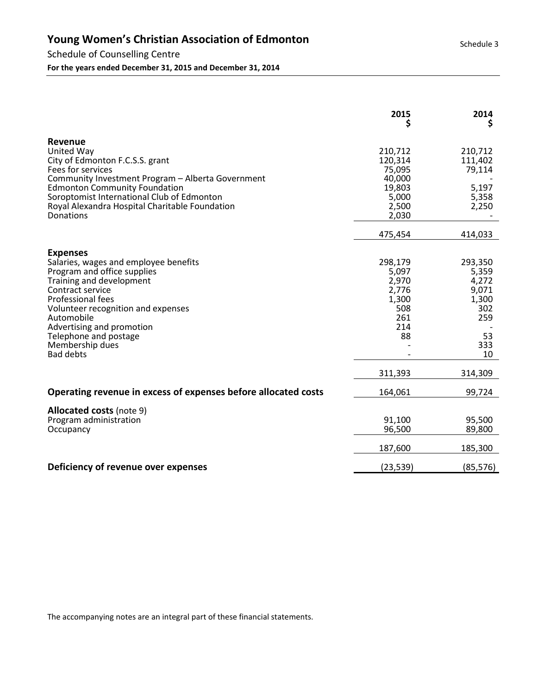#### Schedule of Counselling Centre

**For the years ended December 31, 2015 and December 31, 2014** 

|                                                                                                                                                                                                                                                                                                               | 2015                                                                              | 2014<br>Ş                                                                               |
|---------------------------------------------------------------------------------------------------------------------------------------------------------------------------------------------------------------------------------------------------------------------------------------------------------------|-----------------------------------------------------------------------------------|-----------------------------------------------------------------------------------------|
| Revenue<br>United Way<br>City of Edmonton F.C.S.S. grant<br>Fees for services<br>Community Investment Program - Alberta Government<br><b>Edmonton Community Foundation</b><br>Soroptomist International Club of Edmonton<br>Royal Alexandra Hospital Charitable Foundation<br>Donations                       | 210,712<br>120,314<br>75,095<br>40,000<br>19,803<br>5,000<br>2,500<br>2,030       | 210,712<br>111,402<br>79,114<br>5,197<br>5,358<br>2,250                                 |
|                                                                                                                                                                                                                                                                                                               | 475,454                                                                           | 414,033                                                                                 |
| <b>Expenses</b><br>Salaries, wages and employee benefits<br>Program and office supplies<br>Training and development<br>Contract service<br>Professional fees<br>Volunteer recognition and expenses<br>Automobile<br>Advertising and promotion<br>Telephone and postage<br>Membership dues<br><b>Bad debts</b> | 298,179<br>5,097<br>2,970<br>2,776<br>1,300<br>508<br>261<br>214<br>88<br>311,393 | 293,350<br>5,359<br>4,272<br>9,071<br>1,300<br>302<br>259<br>53<br>333<br>10<br>314,309 |
| Operating revenue in excess of expenses before allocated costs                                                                                                                                                                                                                                                | 164,061                                                                           | 99,724                                                                                  |
| <b>Allocated costs (note 9)</b><br>Program administration<br>Occupancy                                                                                                                                                                                                                                        | 91,100<br>96,500<br>187,600                                                       | 95,500<br>89,800<br>185,300                                                             |
| Deficiency of revenue over expenses                                                                                                                                                                                                                                                                           | (23, 539)                                                                         | (85, 576)                                                                               |

Schedule 3